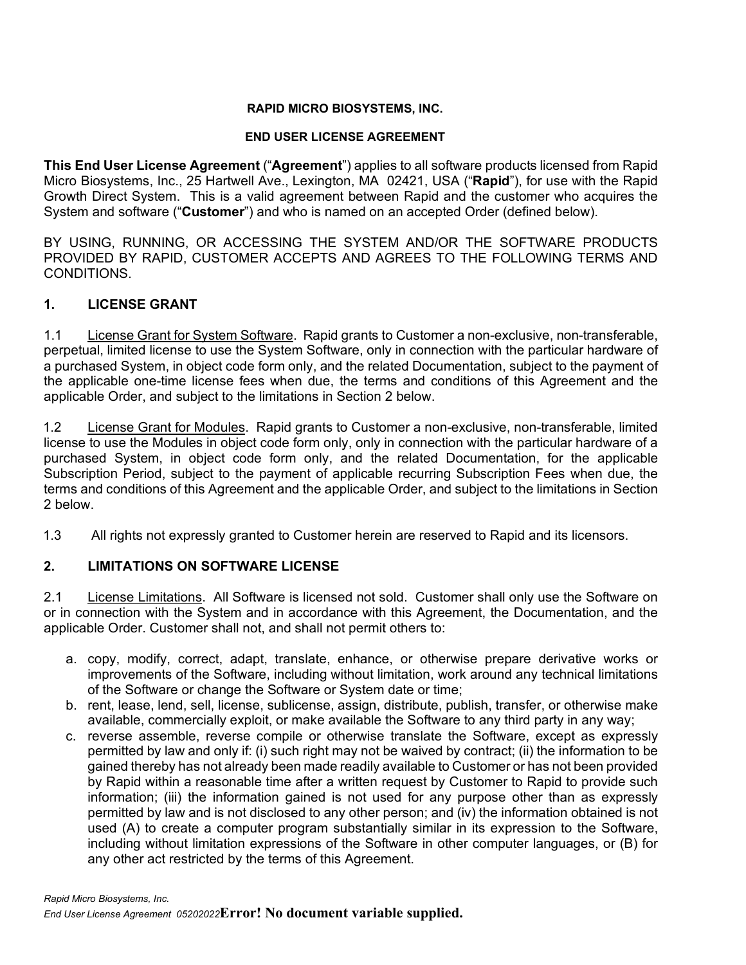#### **RAPID MICRO BIOSYSTEMS, INC.**

#### **END USER LICENSE AGREEMENT**

**This End User License Agreement** ("**Agreement**") applies to all software products licensed from Rapid Micro Biosystems, Inc., 25 Hartwell Ave., Lexington, MA 02421, USA ("**Rapid**"), for use with the Rapid Growth Direct System. This is a valid agreement between Rapid and the customer who acquires the System and software ("**Customer**") and who is named on an accepted Order (defined below).

BY USING, RUNNING, OR ACCESSING THE SYSTEM AND/OR THE SOFTWARE PRODUCTS PROVIDED BY RAPID, CUSTOMER ACCEPTS AND AGREES TO THE FOLLOWING TERMS AND CONDITIONS.

#### **1. LICENSE GRANT**

1.1 License Grant for System Software. Rapid grants to Customer a non-exclusive, non-transferable, perpetual, limited license to use the System Software, only in connection with the particular hardware of a purchased System, in object code form only, and the related Documentation, subject to the payment of the applicable one-time license fees when due, the terms and conditions of this Agreement and the applicable Order, and subject to the limitations in Section 2 below.

1.2 License Grant for Modules. Rapid grants to Customer a non-exclusive, non-transferable, limited license to use the Modules in object code form only, only in connection with the particular hardware of a purchased System, in object code form only, and the related Documentation, for the applicable Subscription Period, subject to the payment of applicable recurring Subscription Fees when due, the terms and conditions of this Agreement and the applicable Order, and subject to the limitations in Section 2 below.

1.3 All rights not expressly granted to Customer herein are reserved to Rapid and its licensors.

#### **2. LIMITATIONS ON SOFTWARE LICENSE**

2.1 License Limitations. All Software is licensed not sold. Customer shall only use the Software on or in connection with the System and in accordance with this Agreement, the Documentation, and the applicable Order. Customer shall not, and shall not permit others to:

- a. copy, modify, correct, adapt, translate, enhance, or otherwise prepare derivative works or improvements of the Software, including without limitation, work around any technical limitations of the Software or change the Software or System date or time;
- b. rent, lease, lend, sell, license, sublicense, assign, distribute, publish, transfer, or otherwise make available, commercially exploit, or make available the Software to any third party in any way;
- c. reverse assemble, reverse compile or otherwise translate the Software, except as expressly permitted by law and only if: (i) such right may not be waived by contract; (ii) the information to be gained thereby has not already been made readily available to Customer or has not been provided by Rapid within a reasonable time after a written request by Customer to Rapid to provide such information; (iii) the information gained is not used for any purpose other than as expressly permitted by law and is not disclosed to any other person; and (iv) the information obtained is not used (A) to create a computer program substantially similar in its expression to the Software, including without limitation expressions of the Software in other computer languages, or (B) for any other act restricted by the terms of this Agreement.

*Rapid Micro Biosystems, Inc.*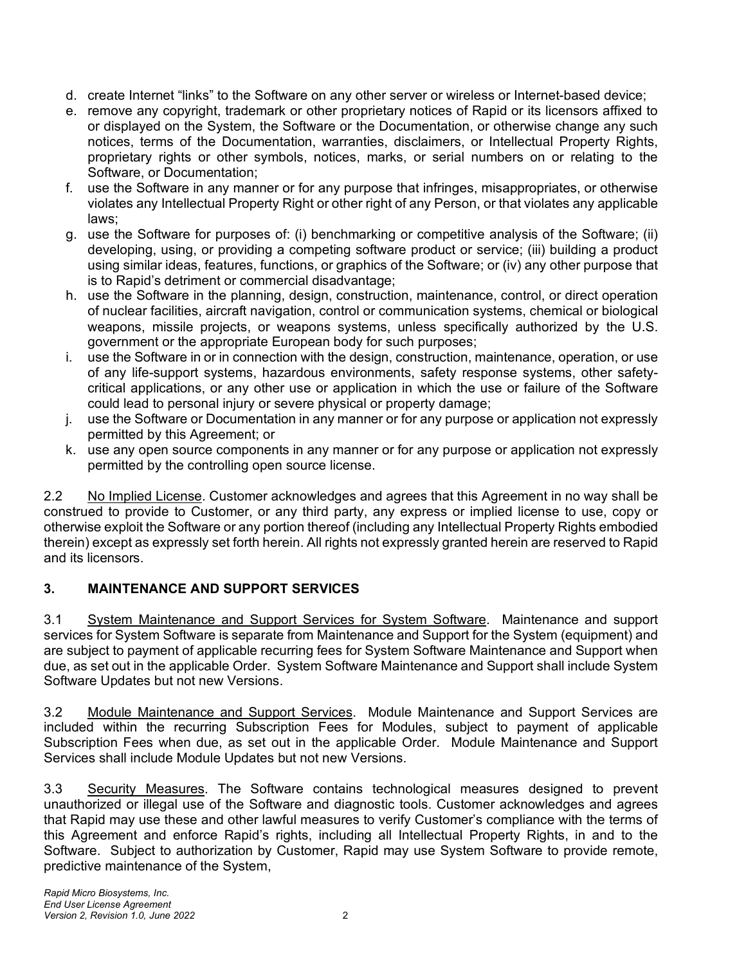- d. create Internet "links" to the Software on any other server or wireless or Internet-based device;
- e. remove any copyright, trademark or other proprietary notices of Rapid or its licensors affixed to or displayed on the System, the Software or the Documentation, or otherwise change any such notices, terms of the Documentation, warranties, disclaimers, or Intellectual Property Rights, proprietary rights or other symbols, notices, marks, or serial numbers on or relating to the Software, or Documentation;
- f. use the Software in any manner or for any purpose that infringes, misappropriates, or otherwise violates any Intellectual Property Right or other right of any Person, or that violates any applicable laws;
- g. use the Software for purposes of: (i) benchmarking or competitive analysis of the Software; (ii) developing, using, or providing a competing software product or service; (iii) building a product using similar ideas, features, functions, or graphics of the Software; or (iv) any other purpose that is to Rapid's detriment or commercial disadvantage;
- h. use the Software in the planning, design, construction, maintenance, control, or direct operation of nuclear facilities, aircraft navigation, control or communication systems, chemical or biological weapons, missile projects, or weapons systems, unless specifically authorized by the U.S. government or the appropriate European body for such purposes;
- i. use the Software in or in connection with the design, construction, maintenance, operation, or use of any life-support systems, hazardous environments, safety response systems, other safetycritical applications, or any other use or application in which the use or failure of the Software could lead to personal injury or severe physical or property damage;
- j. use the Software or Documentation in any manner or for any purpose or application not expressly permitted by this Agreement; or
- k. use any open source components in any manner or for any purpose or application not expressly permitted by the controlling open source license.

2.2 No Implied License. Customer acknowledges and agrees that this Agreement in no way shall be construed to provide to Customer, or any third party, any express or implied license to use, copy or otherwise exploit the Software or any portion thereof (including any Intellectual Property Rights embodied therein) except as expressly set forth herein. All rights not expressly granted herein are reserved to Rapid and its licensors.

## **3. MAINTENANCE AND SUPPORT SERVICES**

3.1 System Maintenance and Support Services for System Software. Maintenance and support services for System Software is separate from Maintenance and Support for the System (equipment) and are subject to payment of applicable recurring fees for System Software Maintenance and Support when due, as set out in the applicable Order. System Software Maintenance and Support shall include System Software Updates but not new Versions.

3.2 Module Maintenance and Support Services. Module Maintenance and Support Services are included within the recurring Subscription Fees for Modules, subject to payment of applicable Subscription Fees when due, as set out in the applicable Order. Module Maintenance and Support Services shall include Module Updates but not new Versions.

3.3 Security Measures. The Software contains technological measures designed to prevent unauthorized or illegal use of the Software and diagnostic tools. Customer acknowledges and agrees that Rapid may use these and other lawful measures to verify Customer's compliance with the terms of this Agreement and enforce Rapid's rights, including all Intellectual Property Rights, in and to the Software. Subject to authorization by Customer, Rapid may use System Software to provide remote, predictive maintenance of the System,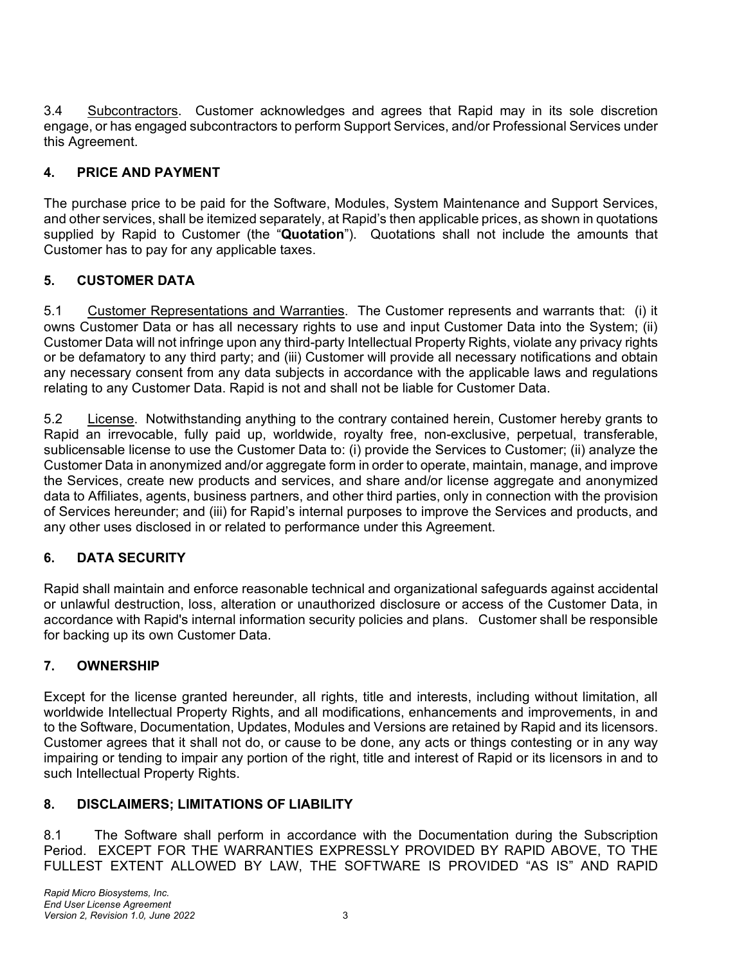3.4 Subcontractors. Customer acknowledges and agrees that Rapid may in its sole discretion engage, or has engaged subcontractors to perform Support Services, and/or Professional Services under this Agreement.

## **4. PRICE AND PAYMENT**

The purchase price to be paid for the Software, Modules, System Maintenance and Support Services, and other services, shall be itemized separately, at Rapid's then applicable prices, as shown in quotations supplied by Rapid to Customer (the "**Quotation**"). Quotations shall not include the amounts that Customer has to pay for any applicable taxes.

## **5. CUSTOMER DATA**

5.1 Customer Representations and Warranties. The Customer represents and warrants that: (i) it owns Customer Data or has all necessary rights to use and input Customer Data into the System; (ii) Customer Data will not infringe upon any third-party Intellectual Property Rights, violate any privacy rights or be defamatory to any third party; and (iii) Customer will provide all necessary notifications and obtain any necessary consent from any data subjects in accordance with the applicable laws and regulations relating to any Customer Data. Rapid is not and shall not be liable for Customer Data.

5.2 License. Notwithstanding anything to the contrary contained herein, Customer hereby grants to Rapid an irrevocable, fully paid up, worldwide, royalty free, non-exclusive, perpetual, transferable, sublicensable license to use the Customer Data to: (i) provide the Services to Customer; (ii) analyze the Customer Data in anonymized and/or aggregate form in order to operate, maintain, manage, and improve the Services, create new products and services, and share and/or license aggregate and anonymized data to Affiliates, agents, business partners, and other third parties, only in connection with the provision of Services hereunder; and (iii) for Rapid's internal purposes to improve the Services and products, and any other uses disclosed in or related to performance under this Agreement.

# **6. DATA SECURITY**

Rapid shall maintain and enforce reasonable technical and organizational safeguards against accidental or unlawful destruction, loss, alteration or unauthorized disclosure or access of the Customer Data, in accordance with Rapid's internal information security policies and plans. Customer shall be responsible for backing up its own Customer Data.

## **7. OWNERSHIP**

Except for the license granted hereunder, all rights, title and interests, including without limitation, all worldwide Intellectual Property Rights, and all modifications, enhancements and improvements, in and to the Software, Documentation, Updates, Modules and Versions are retained by Rapid and its licensors. Customer agrees that it shall not do, or cause to be done, any acts or things contesting or in any way impairing or tending to impair any portion of the right, title and interest of Rapid or its licensors in and to such Intellectual Property Rights.

## **8. DISCLAIMERS; LIMITATIONS OF LIABILITY**

8.1 The Software shall perform in accordance with the Documentation during the Subscription Period. EXCEPT FOR THE WARRANTIES EXPRESSLY PROVIDED BY RAPID ABOVE, TO THE FULLEST EXTENT ALLOWED BY LAW, THE SOFTWARE IS PROVIDED "AS IS" AND RAPID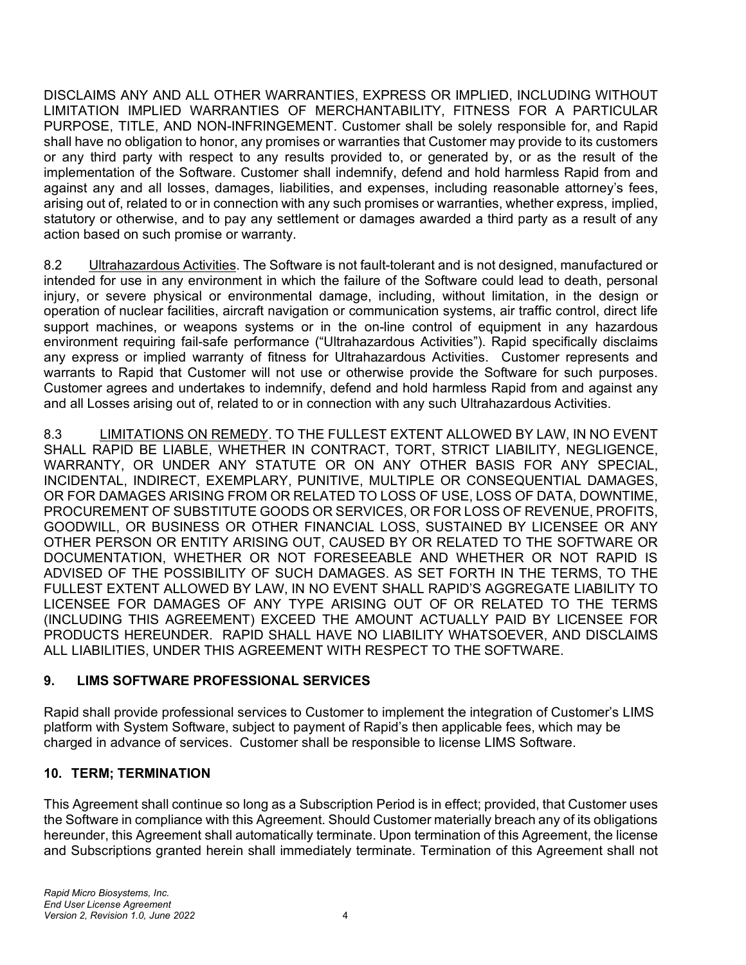DISCLAIMS ANY AND ALL OTHER WARRANTIES, EXPRESS OR IMPLIED, INCLUDING WITHOUT LIMITATION IMPLIED WARRANTIES OF MERCHANTABILITY, FITNESS FOR A PARTICULAR PURPOSE, TITLE, AND NON-INFRINGEMENT. Customer shall be solely responsible for, and Rapid shall have no obligation to honor, any promises or warranties that Customer may provide to its customers or any third party with respect to any results provided to, or generated by, or as the result of the implementation of the Software. Customer shall indemnify, defend and hold harmless Rapid from and against any and all losses, damages, liabilities, and expenses, including reasonable attorney's fees, arising out of, related to or in connection with any such promises or warranties, whether express, implied, statutory or otherwise, and to pay any settlement or damages awarded a third party as a result of any action based on such promise or warranty.

8.2 Ultrahazardous Activities. The Software is not fault-tolerant and is not designed, manufactured or intended for use in any environment in which the failure of the Software could lead to death, personal injury, or severe physical or environmental damage, including, without limitation, in the design or operation of nuclear facilities, aircraft navigation or communication systems, air traffic control, direct life support machines, or weapons systems or in the on-line control of equipment in any hazardous environment requiring fail-safe performance ("Ultrahazardous Activities"). Rapid specifically disclaims any express or implied warranty of fitness for Ultrahazardous Activities. Customer represents and warrants to Rapid that Customer will not use or otherwise provide the Software for such purposes. Customer agrees and undertakes to indemnify, defend and hold harmless Rapid from and against any and all Losses arising out of, related to or in connection with any such Ultrahazardous Activities.

8.3 LIMITATIONS ON REMEDY. TO THE FULLEST EXTENT ALLOWED BY LAW, IN NO EVENT SHALL RAPID BE LIABLE, WHETHER IN CONTRACT, TORT, STRICT LIABILITY, NEGLIGENCE, WARRANTY, OR UNDER ANY STATUTE OR ON ANY OTHER BASIS FOR ANY SPECIAL, INCIDENTAL, INDIRECT, EXEMPLARY, PUNITIVE, MULTIPLE OR CONSEQUENTIAL DAMAGES, OR FOR DAMAGES ARISING FROM OR RELATED TO LOSS OF USE, LOSS OF DATA, DOWNTIME, PROCUREMENT OF SUBSTITUTE GOODS OR SERVICES, OR FOR LOSS OF REVENUE, PROFITS, GOODWILL, OR BUSINESS OR OTHER FINANCIAL LOSS, SUSTAINED BY LICENSEE OR ANY OTHER PERSON OR ENTITY ARISING OUT, CAUSED BY OR RELATED TO THE SOFTWARE OR DOCUMENTATION, WHETHER OR NOT FORESEEABLE AND WHETHER OR NOT RAPID IS ADVISED OF THE POSSIBILITY OF SUCH DAMAGES. AS SET FORTH IN THE TERMS, TO THE FULLEST EXTENT ALLOWED BY LAW, IN NO EVENT SHALL RAPID'S AGGREGATE LIABILITY TO LICENSEE FOR DAMAGES OF ANY TYPE ARISING OUT OF OR RELATED TO THE TERMS (INCLUDING THIS AGREEMENT) EXCEED THE AMOUNT ACTUALLY PAID BY LICENSEE FOR PRODUCTS HEREUNDER. RAPID SHALL HAVE NO LIABILITY WHATSOEVER, AND DISCLAIMS ALL LIABILITIES, UNDER THIS AGREEMENT WITH RESPECT TO THE SOFTWARE.

### **9. LIMS SOFTWARE PROFESSIONAL SERVICES**

Rapid shall provide professional services to Customer to implement the integration of Customer's LIMS platform with System Software, subject to payment of Rapid's then applicable fees, which may be charged in advance of services. Customer shall be responsible to license LIMS Software.

### **10. TERM; TERMINATION**

This Agreement shall continue so long as a Subscription Period is in effect; provided, that Customer uses the Software in compliance with this Agreement. Should Customer materially breach any of its obligations hereunder, this Agreement shall automatically terminate. Upon termination of this Agreement, the license and Subscriptions granted herein shall immediately terminate. Termination of this Agreement shall not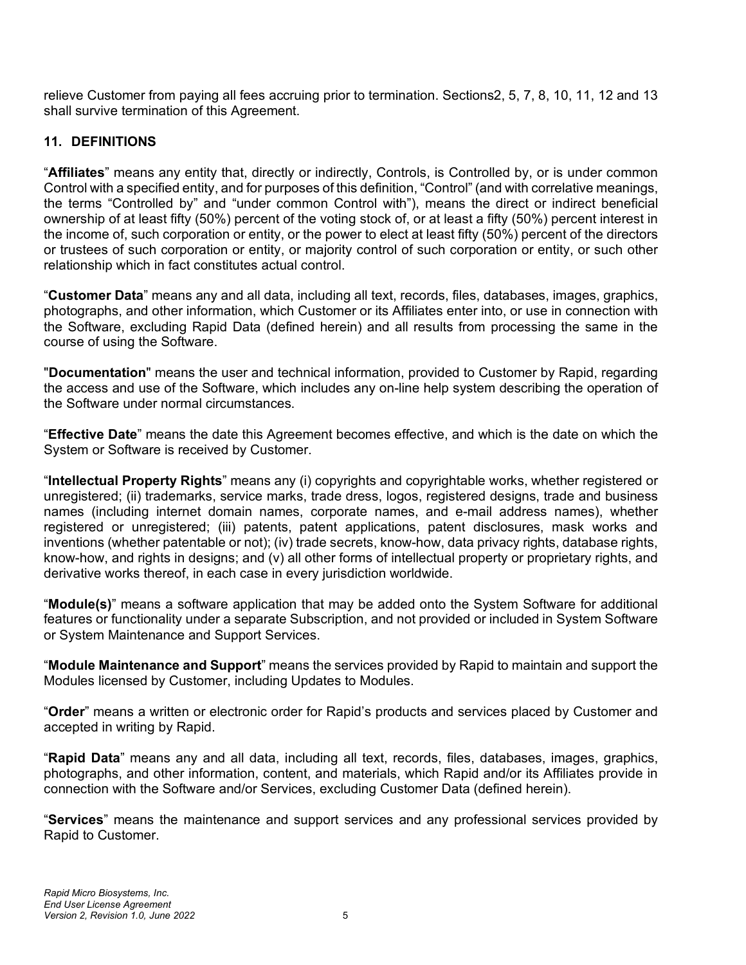relieve Customer from paying all fees accruing prior to termination. Sections2, 5, 7, 8, 10, 11, 12 and 13 shall survive termination of this Agreement.

### **11. DEFINITIONS**

"**Affiliates**" means any entity that, directly or indirectly, Controls, is Controlled by, or is under common Control with a specified entity, and for purposes of this definition, "Control" (and with correlative meanings, the terms "Controlled by" and "under common Control with"), means the direct or indirect beneficial ownership of at least fifty (50%) percent of the voting stock of, or at least a fifty (50%) percent interest in the income of, such corporation or entity, or the power to elect at least fifty (50%) percent of the directors or trustees of such corporation or entity, or majority control of such corporation or entity, or such other relationship which in fact constitutes actual control.

"**Customer Data**" means any and all data, including all text, records, files, databases, images, graphics, photographs, and other information, which Customer or its Affiliates enter into, or use in connection with the Software, excluding Rapid Data (defined herein) and all results from processing the same in the course of using the Software.

"**Documentation**" means the user and technical information, provided to Customer by Rapid, regarding the access and use of the Software, which includes any on-line help system describing the operation of the Software under normal circumstances.

"**Effective Date**" means the date this Agreement becomes effective, and which is the date on which the System or Software is received by Customer.

"**Intellectual Property Rights**" means any (i) copyrights and copyrightable works, whether registered or unregistered; (ii) trademarks, service marks, trade dress, logos, registered designs, trade and business names (including internet domain names, corporate names, and e-mail address names), whether registered or unregistered; (iii) patents, patent applications, patent disclosures, mask works and inventions (whether patentable or not); (iv) trade secrets, know-how, data privacy rights, database rights, know-how, and rights in designs; and (v) all other forms of intellectual property or proprietary rights, and derivative works thereof, in each case in every jurisdiction worldwide.

"**Module(s)**" means a software application that may be added onto the System Software for additional features or functionality under a separate Subscription, and not provided or included in System Software or System Maintenance and Support Services.

"**Module Maintenance and Support**" means the services provided by Rapid to maintain and support the Modules licensed by Customer, including Updates to Modules.

"**Order**" means a written or electronic order for Rapid's products and services placed by Customer and accepted in writing by Rapid.

"**Rapid Data**" means any and all data, including all text, records, files, databases, images, graphics, photographs, and other information, content, and materials, which Rapid and/or its Affiliates provide in connection with the Software and/or Services, excluding Customer Data (defined herein).

"**Services**" means the maintenance and support services and any professional services provided by Rapid to Customer.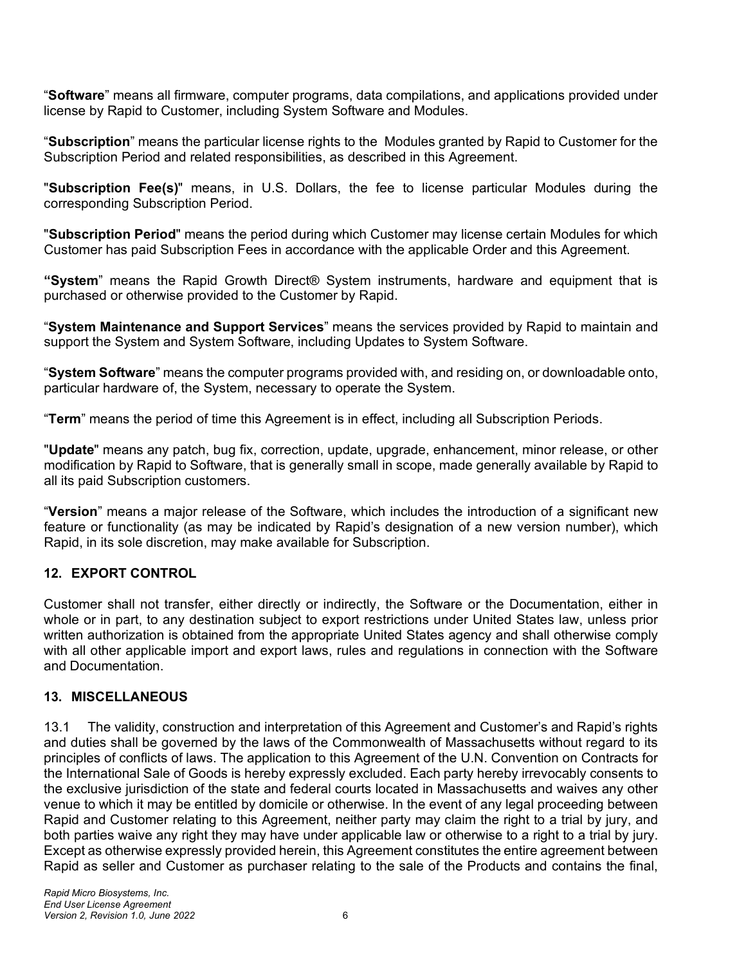"**Software**" means all firmware, computer programs, data compilations, and applications provided under license by Rapid to Customer, including System Software and Modules.

"**Subscription**" means the particular license rights to the Modules granted by Rapid to Customer for the Subscription Period and related responsibilities, as described in this Agreement.

"**Subscription Fee(s)**" means, in U.S. Dollars, the fee to license particular Modules during the corresponding Subscription Period.

"**Subscription Period**" means the period during which Customer may license certain Modules for which Customer has paid Subscription Fees in accordance with the applicable Order and this Agreement.

**"System**" means the Rapid Growth Direct® System instruments, hardware and equipment that is purchased or otherwise provided to the Customer by Rapid.

"**System Maintenance and Support Services**" means the services provided by Rapid to maintain and support the System and System Software, including Updates to System Software.

"**System Software**" means the computer programs provided with, and residing on, or downloadable onto, particular hardware of, the System, necessary to operate the System.

"**Term**" means the period of time this Agreement is in effect, including all Subscription Periods.

"**Update**" means any patch, bug fix, correction, update, upgrade, enhancement, minor release, or other modification by Rapid to Software, that is generally small in scope, made generally available by Rapid to all its paid Subscription customers.

"**Version**" means a major release of the Software, which includes the introduction of a significant new feature or functionality (as may be indicated by Rapid's designation of a new version number), which Rapid, in its sole discretion, may make available for Subscription.

### **12. EXPORT CONTROL**

Customer shall not transfer, either directly or indirectly, the Software or the Documentation, either in whole or in part, to any destination subject to export restrictions under United States law, unless prior written authorization is obtained from the appropriate United States agency and shall otherwise comply with all other applicable import and export laws, rules and regulations in connection with the Software and Documentation.

### **13. MISCELLANEOUS**

13.1 The validity, construction and interpretation of this Agreement and Customer's and Rapid's rights and duties shall be governed by the laws of the Commonwealth of Massachusetts without regard to its principles of conflicts of laws. The application to this Agreement of the U.N. Convention on Contracts for the International Sale of Goods is hereby expressly excluded. Each party hereby irrevocably consents to the exclusive jurisdiction of the state and federal courts located in Massachusetts and waives any other venue to which it may be entitled by domicile or otherwise. In the event of any legal proceeding between Rapid and Customer relating to this Agreement, neither party may claim the right to a trial by jury, and both parties waive any right they may have under applicable law or otherwise to a right to a trial by jury. Except as otherwise expressly provided herein, this Agreement constitutes the entire agreement between Rapid as seller and Customer as purchaser relating to the sale of the Products and contains the final,